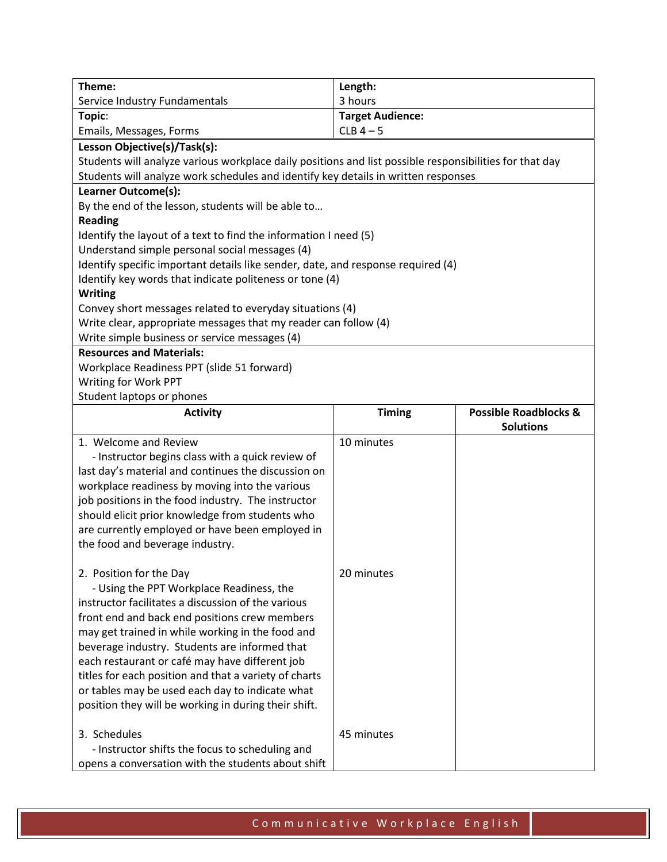| Theme:                                                                                                  | Length:                 |                                                      |
|---------------------------------------------------------------------------------------------------------|-------------------------|------------------------------------------------------|
| Service Industry Fundamentals                                                                           | 3 hours                 |                                                      |
| Topic:                                                                                                  | <b>Target Audience:</b> |                                                      |
| Emails, Messages, Forms                                                                                 | $CLB$ 4 - 5             |                                                      |
| Lesson Objective(s)/Task(s):                                                                            |                         |                                                      |
| Students will analyze various workplace daily positions and list possible responsibilities for that day |                         |                                                      |
| Students will analyze work schedules and identify key details in written responses                      |                         |                                                      |
| Learner Outcome(s):                                                                                     |                         |                                                      |
| By the end of the lesson, students will be able to                                                      |                         |                                                      |
| <b>Reading</b>                                                                                          |                         |                                                      |
| Identify the layout of a text to find the information I need (5)                                        |                         |                                                      |
| Understand simple personal social messages (4)                                                          |                         |                                                      |
| Identify specific important details like sender, date, and response required (4)                        |                         |                                                      |
| Identify key words that indicate politeness or tone (4)                                                 |                         |                                                      |
| <b>Writing</b>                                                                                          |                         |                                                      |
| Convey short messages related to everyday situations (4)                                                |                         |                                                      |
| Write clear, appropriate messages that my reader can follow (4)                                         |                         |                                                      |
| Write simple business or service messages (4)                                                           |                         |                                                      |
| <b>Resources and Materials:</b>                                                                         |                         |                                                      |
| Workplace Readiness PPT (slide 51 forward)                                                              |                         |                                                      |
| Writing for Work PPT                                                                                    |                         |                                                      |
| Student laptops or phones                                                                               |                         |                                                      |
| <b>Activity</b>                                                                                         | <b>Timing</b>           | <b>Possible Roadblocks &amp;</b><br><b>Solutions</b> |
| 1. Welcome and Review                                                                                   | 10 minutes              |                                                      |
|                                                                                                         |                         |                                                      |
|                                                                                                         |                         |                                                      |
| - Instructor begins class with a quick review of                                                        |                         |                                                      |
| last day's material and continues the discussion on                                                     |                         |                                                      |
| workplace readiness by moving into the various                                                          |                         |                                                      |
| job positions in the food industry. The instructor                                                      |                         |                                                      |
| should elicit prior knowledge from students who                                                         |                         |                                                      |
| are currently employed or have been employed in                                                         |                         |                                                      |
| the food and beverage industry.                                                                         |                         |                                                      |
|                                                                                                         |                         |                                                      |
| 2. Position for the Day                                                                                 | 20 minutes              |                                                      |
| - Using the PPT Workplace Readiness, the                                                                |                         |                                                      |
| instructor facilitates a discussion of the various                                                      |                         |                                                      |
| front end and back end positions crew members                                                           |                         |                                                      |
| may get trained in while working in the food and                                                        |                         |                                                      |
| beverage industry. Students are informed that                                                           |                         |                                                      |
| each restaurant or café may have different job                                                          |                         |                                                      |
| titles for each position and that a variety of charts                                                   |                         |                                                      |
| or tables may be used each day to indicate what                                                         |                         |                                                      |
| position they will be working in during their shift.                                                    |                         |                                                      |
| 3. Schedules                                                                                            | 45 minutes              |                                                      |
| - Instructor shifts the focus to scheduling and                                                         |                         |                                                      |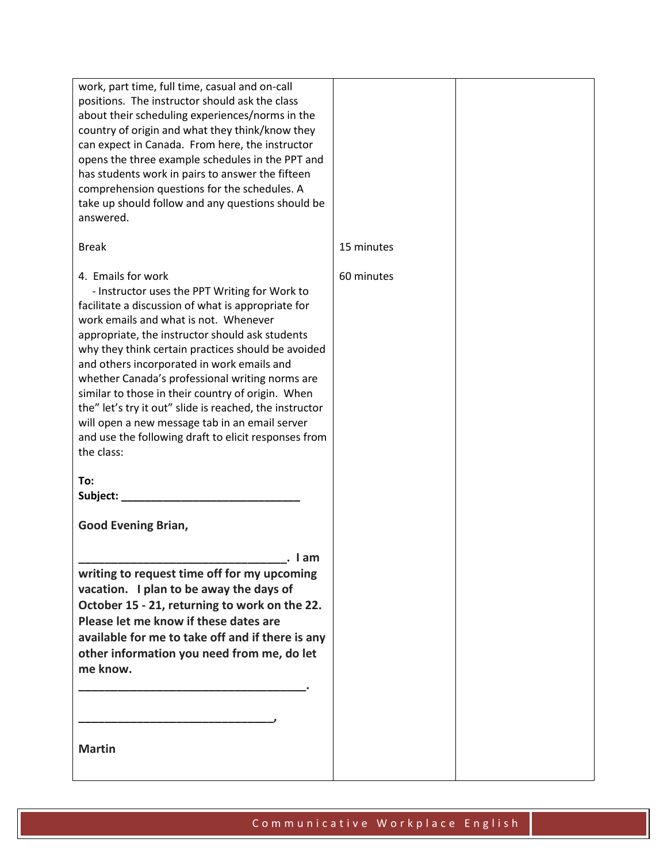| work, part time, full time, casual and on-call<br>positions. The instructor should ask the class<br>about their scheduling experiences/norms in the<br>country of origin and what they think/know they<br>can expect in Canada. From here, the instructor<br>opens the three example schedules in the PPT and<br>has students work in pairs to answer the fifteen<br>comprehension questions for the schedules. A<br>take up should follow and any questions should be<br>answered.                                                                                                                                  |            |  |
|----------------------------------------------------------------------------------------------------------------------------------------------------------------------------------------------------------------------------------------------------------------------------------------------------------------------------------------------------------------------------------------------------------------------------------------------------------------------------------------------------------------------------------------------------------------------------------------------------------------------|------------|--|
| <b>Break</b>                                                                                                                                                                                                                                                                                                                                                                                                                                                                                                                                                                                                         | 15 minutes |  |
| 4. Emails for work<br>- Instructor uses the PPT Writing for Work to<br>facilitate a discussion of what is appropriate for<br>work emails and what is not. Whenever<br>appropriate, the instructor should ask students<br>why they think certain practices should be avoided<br>and others incorporated in work emails and<br>whether Canada's professional writing norms are<br>similar to those in their country of origin. When<br>the" let's try it out" slide is reached, the instructor<br>will open a new message tab in an email server<br>and use the following draft to elicit responses from<br>the class: | 60 minutes |  |
| To:<br>Subject: __________                                                                                                                                                                                                                                                                                                                                                                                                                                                                                                                                                                                           |            |  |
| <b>Good Evening Brian,</b>                                                                                                                                                                                                                                                                                                                                                                                                                                                                                                                                                                                           |            |  |
| . I am<br>writing to request time off for my upcoming<br>vacation. I plan to be away the days of<br>October 15 - 21, returning to work on the 22.<br>Please let me know if these dates are<br>available for me to take off and if there is any<br>other information you need from me, do let<br>me know.                                                                                                                                                                                                                                                                                                             |            |  |
| <b>Martin</b>                                                                                                                                                                                                                                                                                                                                                                                                                                                                                                                                                                                                        |            |  |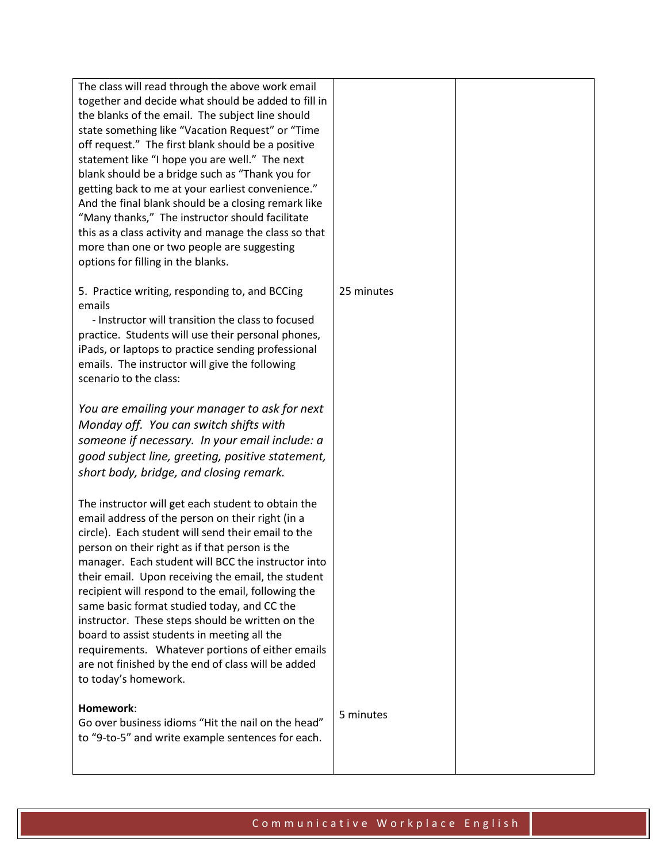| The class will read through the above work email<br>together and decide what should be added to fill in<br>the blanks of the email. The subject line should<br>state something like "Vacation Request" or "Time<br>off request." The first blank should be a positive<br>statement like "I hope you are well." The next<br>blank should be a bridge such as "Thank you for<br>getting back to me at your earliest convenience."<br>And the final blank should be a closing remark like<br>"Many thanks," The instructor should facilitate                                                                                                                            |            |  |
|----------------------------------------------------------------------------------------------------------------------------------------------------------------------------------------------------------------------------------------------------------------------------------------------------------------------------------------------------------------------------------------------------------------------------------------------------------------------------------------------------------------------------------------------------------------------------------------------------------------------------------------------------------------------|------------|--|
| this as a class activity and manage the class so that<br>more than one or two people are suggesting<br>options for filling in the blanks.                                                                                                                                                                                                                                                                                                                                                                                                                                                                                                                            |            |  |
| 5. Practice writing, responding to, and BCCing<br>emails<br>- Instructor will transition the class to focused<br>practice. Students will use their personal phones,<br>iPads, or laptops to practice sending professional<br>emails. The instructor will give the following<br>scenario to the class:                                                                                                                                                                                                                                                                                                                                                                | 25 minutes |  |
| You are emailing your manager to ask for next<br>Monday off. You can switch shifts with<br>someone if necessary. In your email include: a<br>good subject line, greeting, positive statement,<br>short body, bridge, and closing remark.                                                                                                                                                                                                                                                                                                                                                                                                                             |            |  |
| The instructor will get each student to obtain the<br>email address of the person on their right (in a<br>circle). Each student will send their email to the<br>person on their right as if that person is the<br>manager. Each student will BCC the instructor into<br>their email. Upon receiving the email, the student<br>recipient will respond to the email, following the<br>same basic format studied today, and CC the<br>instructor. These steps should be written on the<br>board to assist students in meeting all the<br>requirements. Whatever portions of either emails<br>are not finished by the end of class will be added<br>to today's homework. |            |  |
| Homework:<br>Go over business idioms "Hit the nail on the head"<br>to "9-to-5" and write example sentences for each.                                                                                                                                                                                                                                                                                                                                                                                                                                                                                                                                                 | 5 minutes  |  |